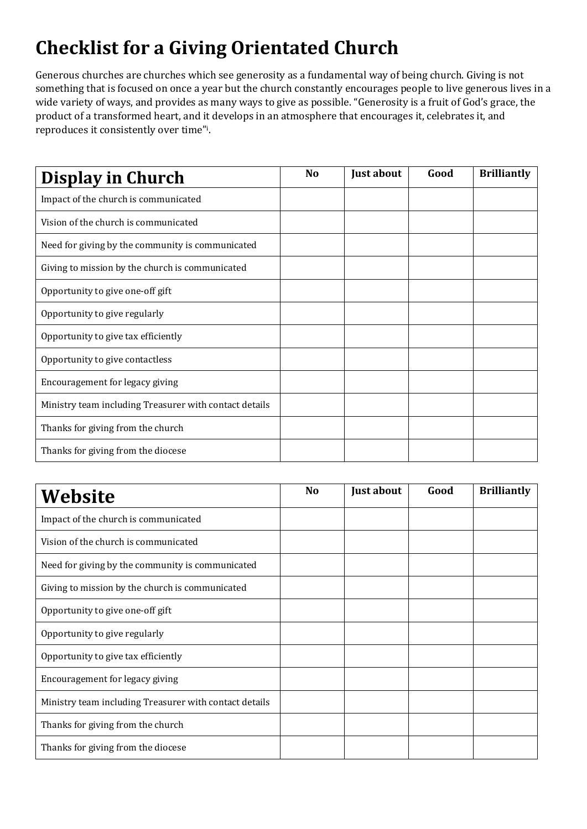## **Checklist for a Giving Orientated Church**

Generous churches are churches which see generosity as a fundamental way of being church. Giving is not something that is focused on once a year but the church constantly encourages people to live generous lives in a wide variety of ways, and provides as many ways to give as possible. "Generosity is a fruit of God's grace, the product of a transformed heart, and it develops in an atmosphere that encourages it, celebrates it, and reproduces it consistently over time"i.

| Display in Church                                      | N <sub>0</sub> | Just about | Good | <b>Brilliantly</b> |
|--------------------------------------------------------|----------------|------------|------|--------------------|
| Impact of the church is communicated                   |                |            |      |                    |
| Vision of the church is communicated                   |                |            |      |                    |
| Need for giving by the community is communicated       |                |            |      |                    |
| Giving to mission by the church is communicated        |                |            |      |                    |
| Opportunity to give one-off gift                       |                |            |      |                    |
| Opportunity to give regularly                          |                |            |      |                    |
| Opportunity to give tax efficiently                    |                |            |      |                    |
| Opportunity to give contactless                        |                |            |      |                    |
| Encouragement for legacy giving                        |                |            |      |                    |
| Ministry team including Treasurer with contact details |                |            |      |                    |
| Thanks for giving from the church                      |                |            |      |                    |
| Thanks for giving from the diocese                     |                |            |      |                    |

| Website                                                | <b>No</b> | Just about | Good | <b>Brilliantly</b> |
|--------------------------------------------------------|-----------|------------|------|--------------------|
| Impact of the church is communicated                   |           |            |      |                    |
| Vision of the church is communicated                   |           |            |      |                    |
| Need for giving by the community is communicated       |           |            |      |                    |
| Giving to mission by the church is communicated        |           |            |      |                    |
| Opportunity to give one-off gift                       |           |            |      |                    |
| Opportunity to give regularly                          |           |            |      |                    |
| Opportunity to give tax efficiently                    |           |            |      |                    |
| Encouragement for legacy giving                        |           |            |      |                    |
| Ministry team including Treasurer with contact details |           |            |      |                    |
| Thanks for giving from the church                      |           |            |      |                    |
| Thanks for giving from the diocese                     |           |            |      |                    |